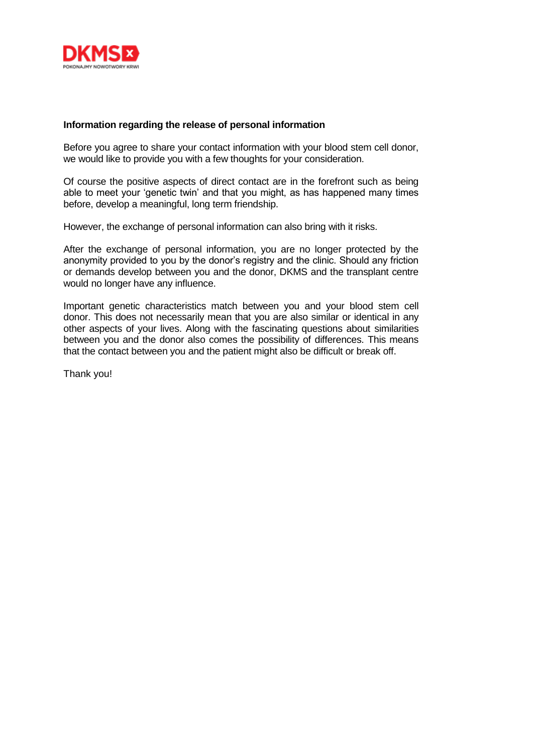

## **Information regarding the release of personal information**

Before you agree to share your contact information with your blood stem cell donor, we would like to provide you with a few thoughts for your consideration.

Of course the positive aspects of direct contact are in the forefront such as being able to meet your 'genetic twin' and that you might, as has happened many times before, develop a meaningful, long term friendship.

However, the exchange of personal information can also bring with it risks.

After the exchange of personal information, you are no longer protected by the anonymity provided to you by the donor's registry and the clinic. Should any friction or demands develop between you and the donor, DKMS and the transplant centre would no longer have any influence.

Important genetic characteristics match between you and your blood stem cell donor. This does not necessarily mean that you are also similar or identical in any other aspects of your lives. Along with the fascinating questions about similarities between you and the donor also comes the possibility of differences. This means that the contact between you and the patient might also be difficult or break off.

Thank you!